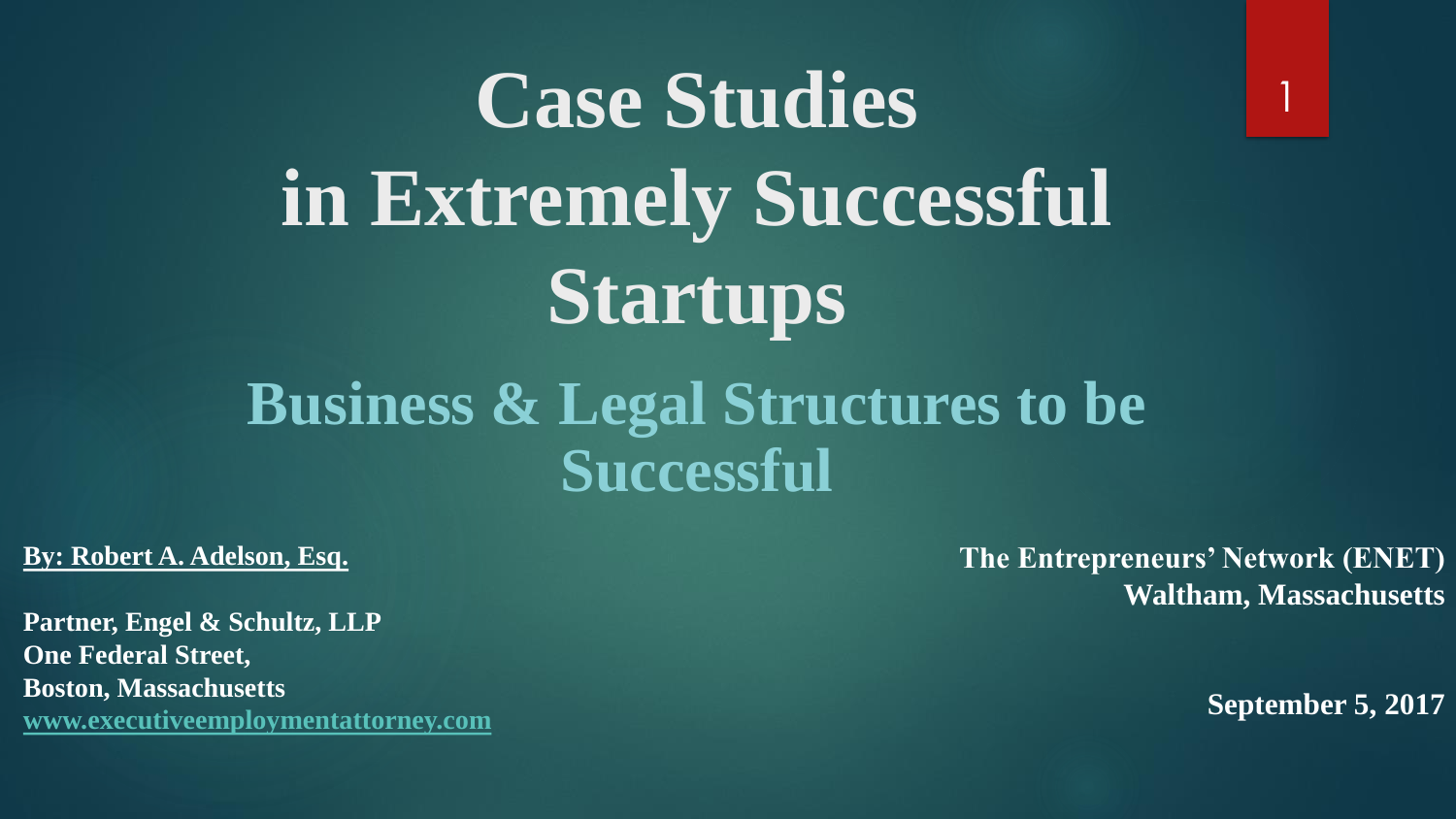# **Case Studies in Extremely Successful Startups**

### **Business & Legal Structures to be Successful**

#### **By: Robert A. Adelson, Esq.**

**Partner, Engel & Schultz, LLP One Federal Street, Boston, Massachusetts [www.executiveemploymentattorney.com](http://www.executiveemploymentattorney.com)** **The Entrepreneurs' Network (ENET) Waltham, Massachusetts**

**September 5, 2017**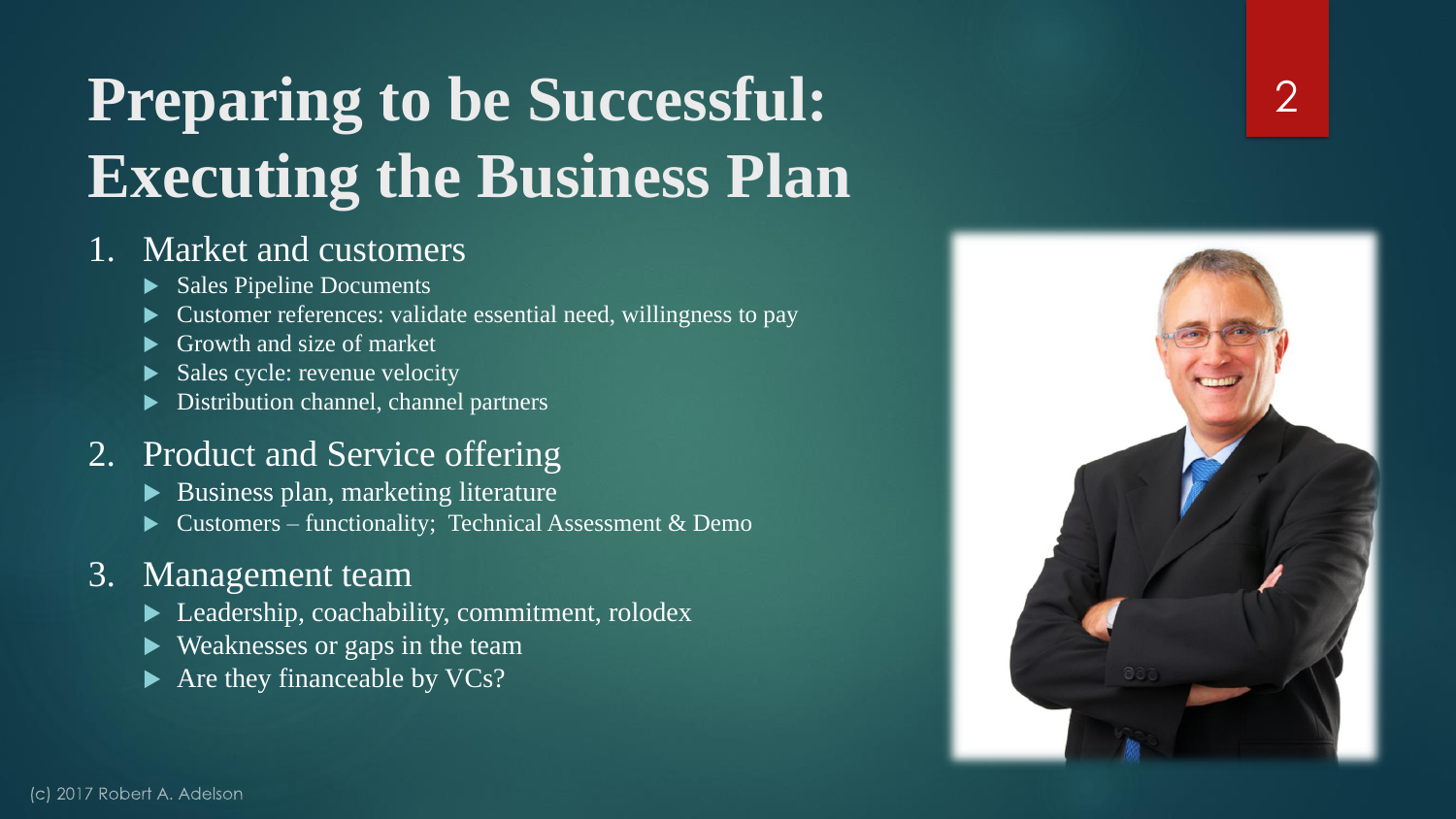# **Preparing to be Successful: Executing the Business Plan**

#### 1. Market and customers

- Sales Pipeline Documents
- Customer references: validate essential need, willingness to pay
- Growth and size of market
- Sales cycle: revenue velocity
- Distribution channel, channel partners

#### 2. Product and Service offering

- Business plan, marketing literature
- Customers functionality; Technical Assessment & Demo

#### 3. Management team

- ▶ Leadership, coachability, commitment, rolodex
- ▶ Weaknesses or gaps in the team
- $\blacktriangleright$  Are they financeable by VCs?

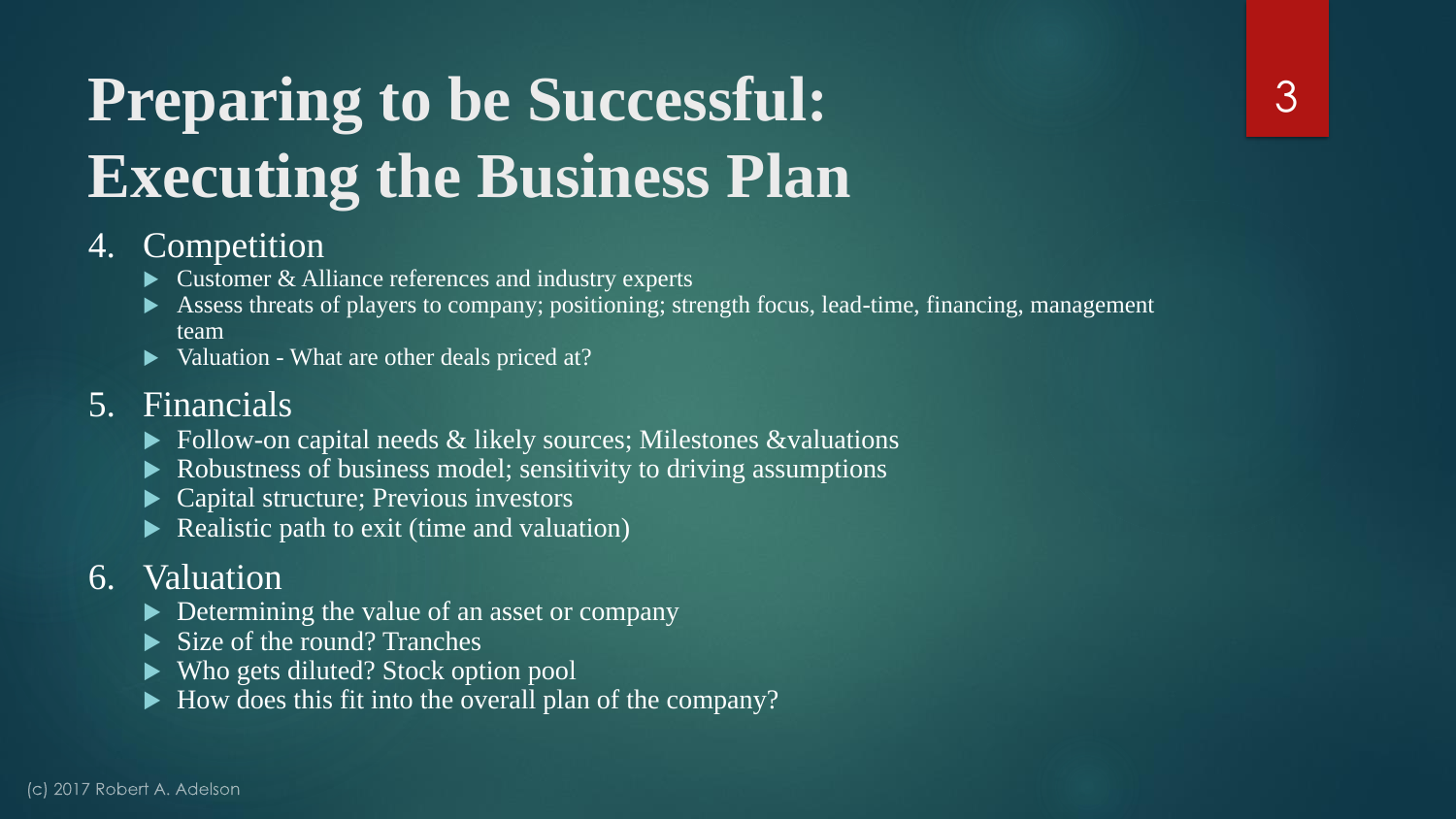# **Preparing to be Successful: Executing the Business Plan**

#### 4. Competition

- $\triangleright$  Customer & Alliance references and industry experts
- Assess threats of players to company; positioning; strength focus, lead-time, financing, management team
- Valuation What are other deals priced at?

#### 5. Financials

- $\triangleright$  Follow-on capital needs & likely sources; Milestones &valuations
- Robustness of business model; sensitivity to driving assumptions
- Capital structure; Previous investors
- Realistic path to exit (time and valuation)

#### 6. Valuation

- Determining the value of an asset or company
- Size of the round? Tranches
- ▶ Who gets diluted? Stock option pool
- $\blacktriangleright$  How does this fit into the overall plan of the company?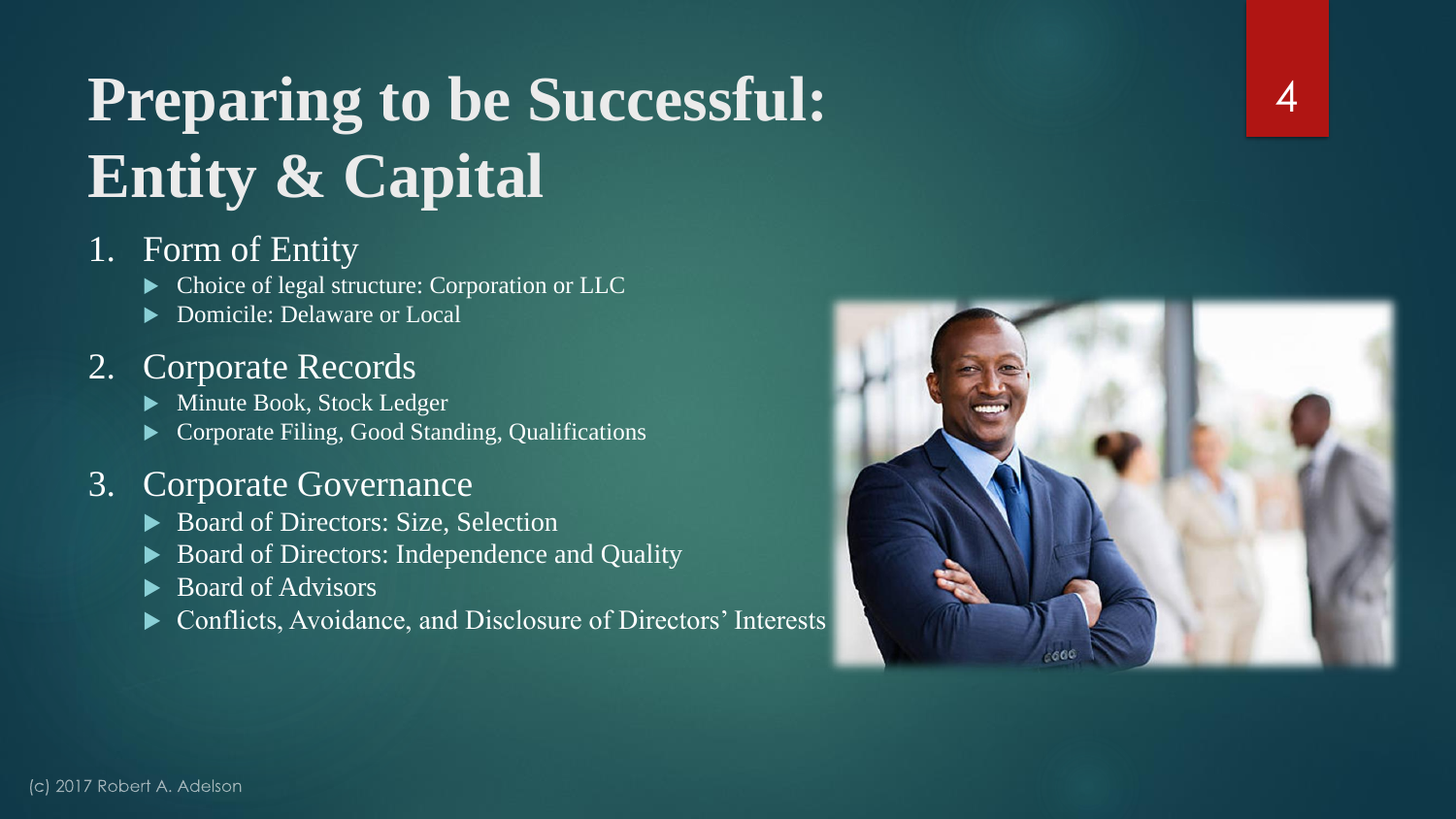# **Preparing to be Successful: Entity & Capital**

#### 1. Form of Entity

- $\blacktriangleright$  Choice of legal structure: Corporation or LLC
- ▶ Domicile: Delaware or Local

#### 2. Corporate Records

- Minute Book, Stock Ledger
- Corporate Filing, Good Standing, Qualifications

#### 3. Corporate Governance

- ▶ Board of Directors: Size, Selection
- Board of Directors: Independence and Quality
- ▶ Board of Advisors
- ▶ Conflicts, Avoidance, and Disclosure of Directors' Interests

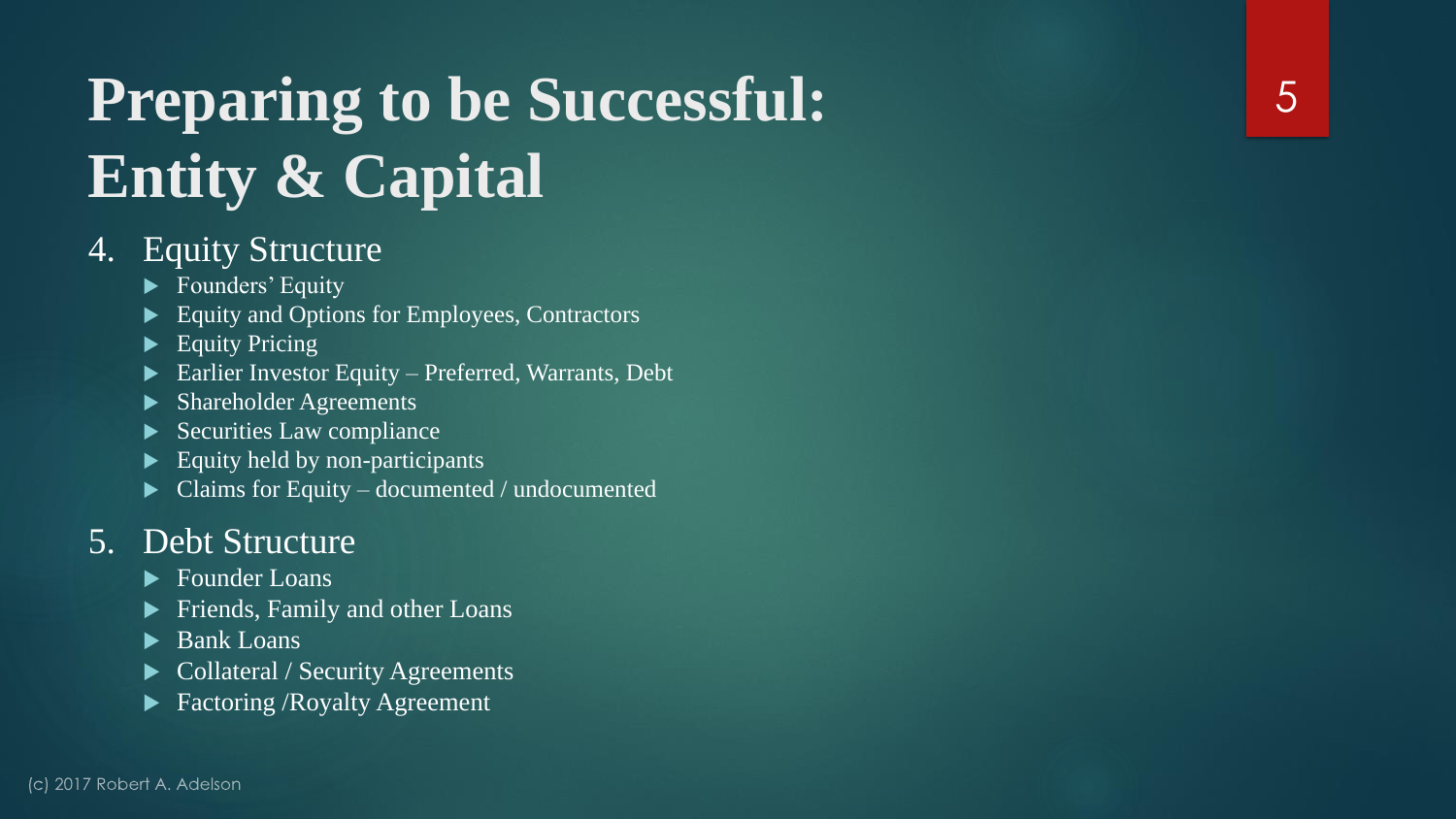# **Preparing to be Successful: Entity & Capital**

#### 4. Equity Structure

- Founders' Equity
- Equity and Options for Employees, Contractors
- $\blacktriangleright$  Equity Pricing
- **Earlier Investor Equity Preferred, Warrants, Debt**
- ▶ Shareholder Agreements
- $\blacktriangleright$  Securities Law compliance
- Equity held by non-participants
- $\blacktriangleright$  Claims for Equity documented / undocumented

#### 5. Debt Structure

- ▶ Founder Loans
- Friends, Family and other Loans
- Bank Loans
- Collateral / Security Agreements
- Factoring /Royalty Agreement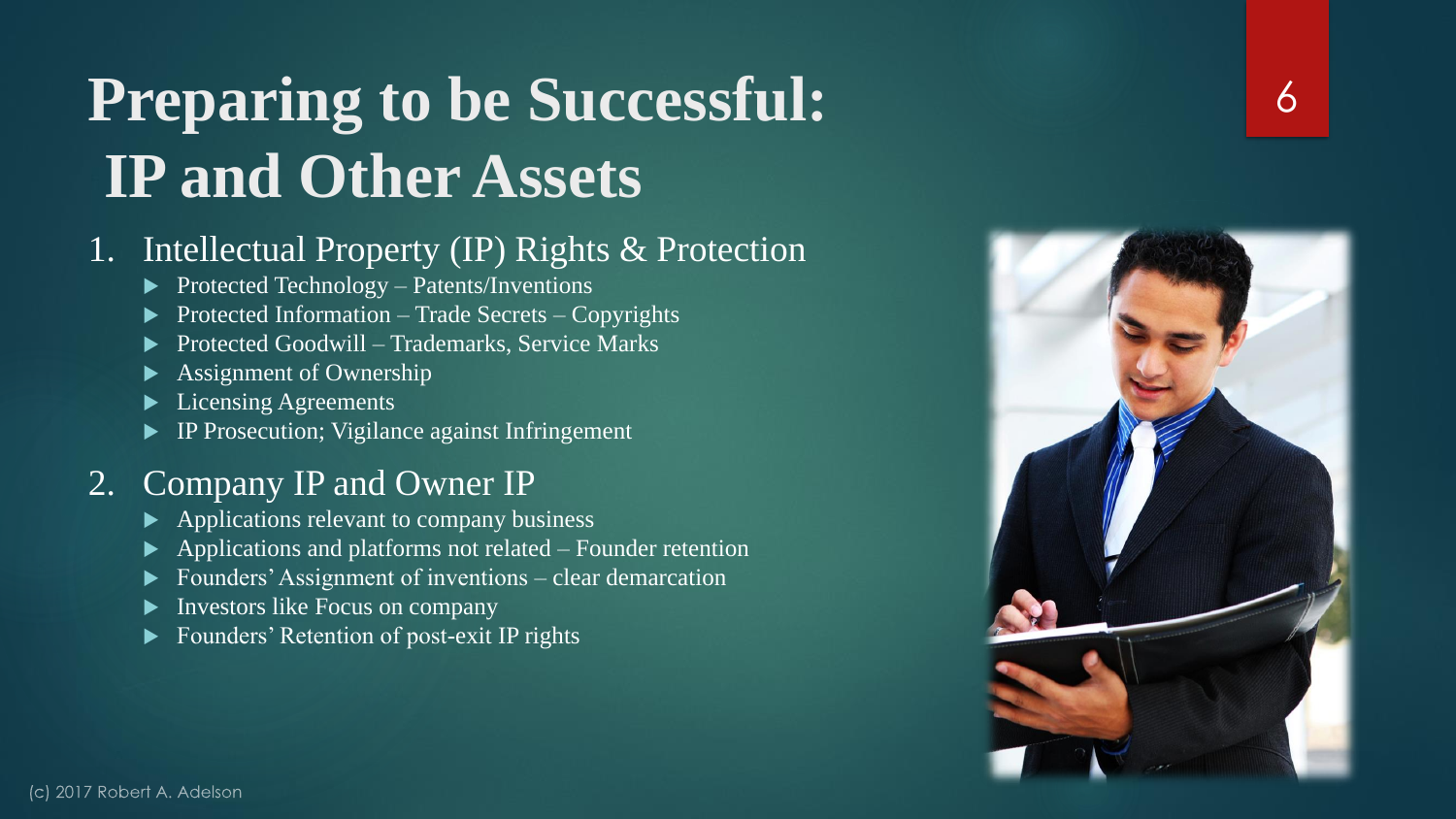### **Preparing to be Successful: IP and Other Assets**

#### 1. Intellectual Property (IP) Rights & Protection

- $\blacktriangleright$  Protected Technology Patents/Inventions
- Protected Information Trade Secrets Copyrights
- Protected Goodwill Trademarks, Service Marks
- Assignment of Ownership
- Licensing Agreements
- IP Prosecution; Vigilance against Infringement

#### 2. Company IP and Owner IP

- $\blacktriangleright$  Applications relevant to company business
- $\blacktriangleright$  Applications and platforms not related Founder retention
- Founders' Assignment of inventions clear demarcation
- Investors like Focus on company
- Founders' Retention of post-exit IP rights

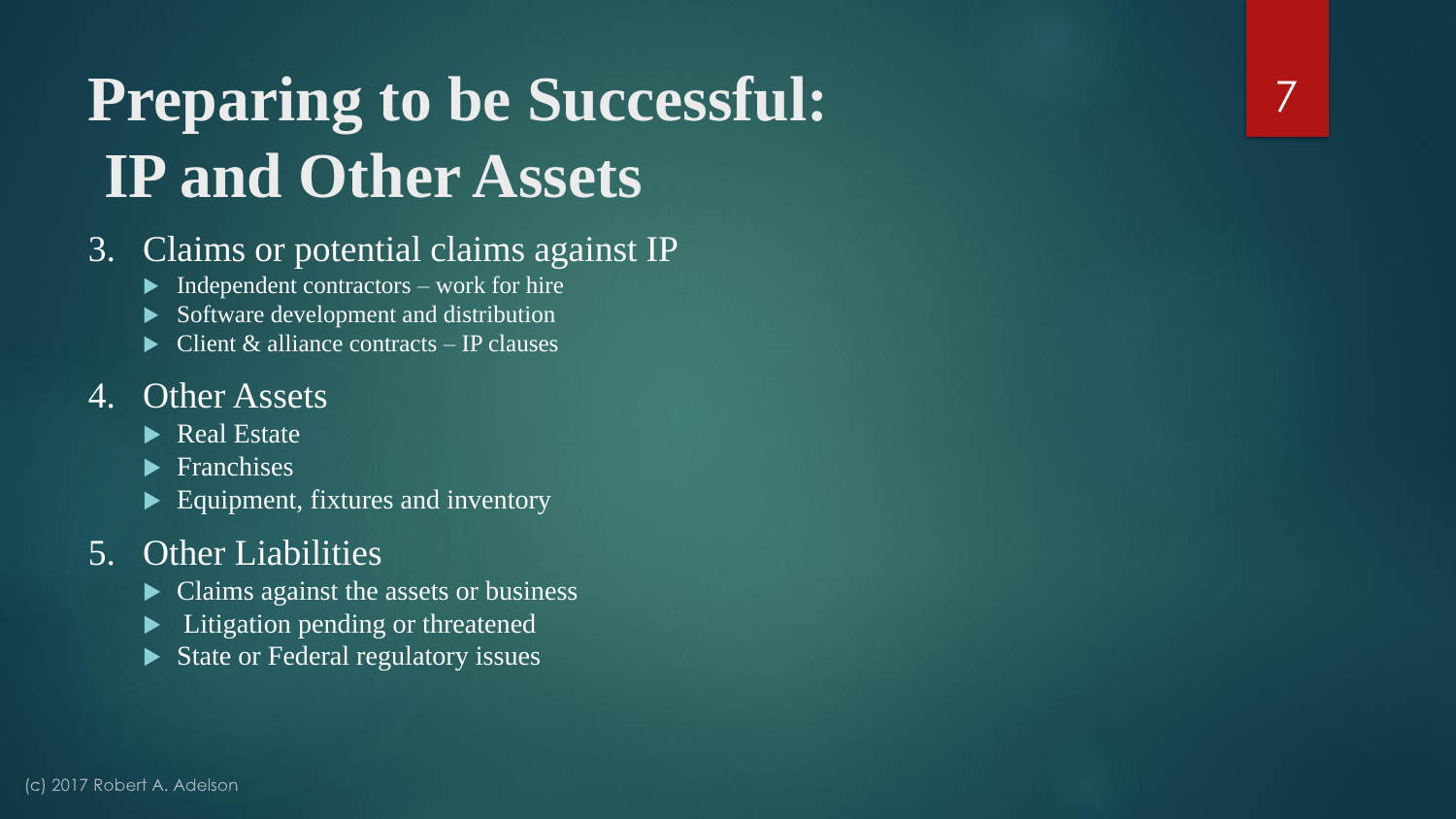### **Preparing to be Successful: IP and Other Assets**

#### 3. Claims or potential claims against IP

- $\blacktriangleright$  Independent contractors work for hire
- Software development and distribution
- $\triangleright$  Client & alliance contracts IP clauses

#### 4. Other Assets

- $\overline{\triangleright}$  Real Estate
- $\blacktriangleright$  Franchises
- Equipment, fixtures and inventory

#### 5. Other Liabilities

- Claims against the assets or business
- **Litigation pending or threatened**
- $\triangleright$  State or Federal regulatory issues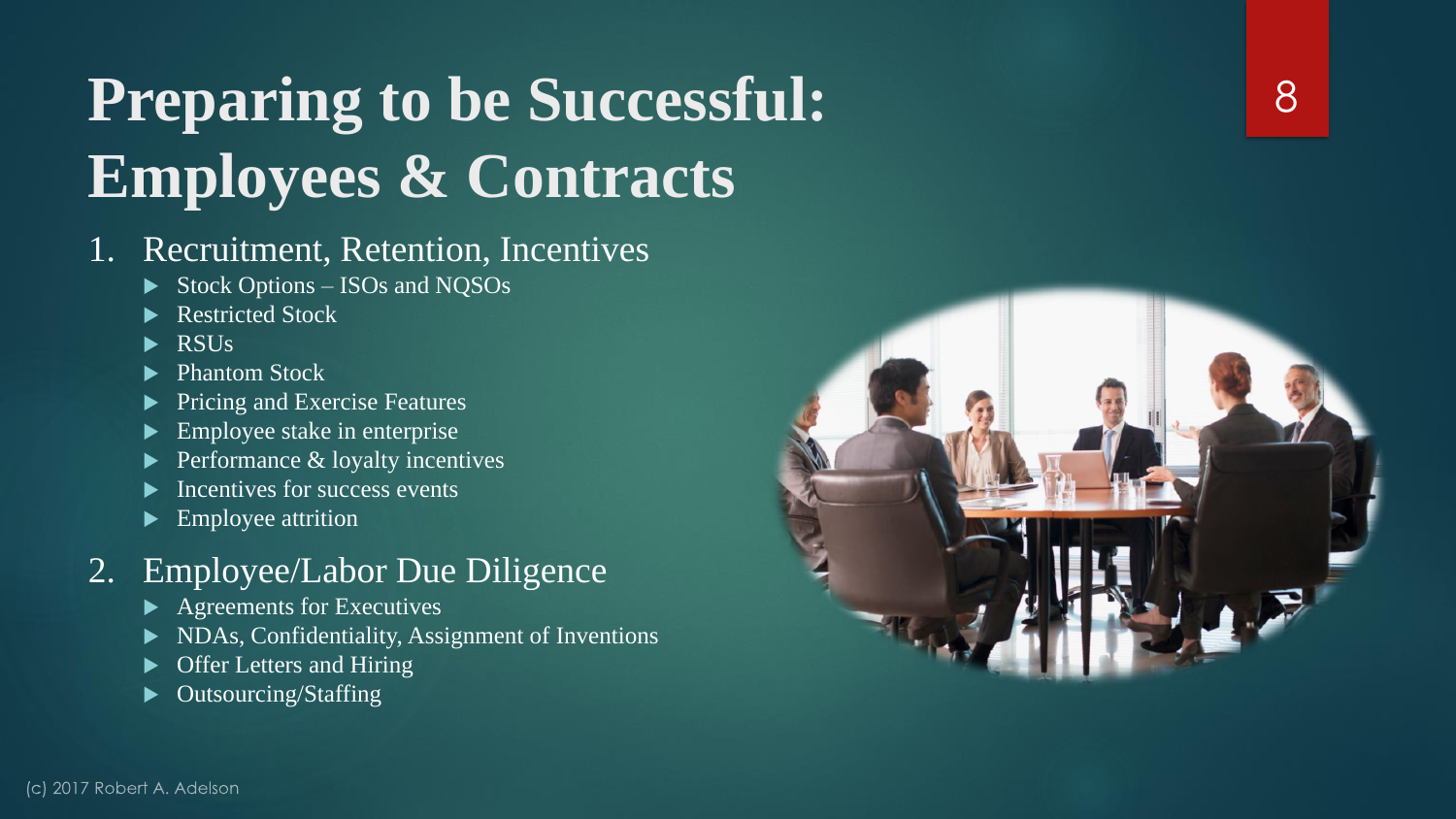# **Preparing to be Successful: Employees & Contracts**

#### 1. Recruitment, Retention, Incentives

- Stock Options ISOs and NQSOs
- Restricted Stock
- RSUs
- Phantom Stock
- Pricing and Exercise Features
- Employee stake in enterprise
- Performance & loyalty incentives
- Incentives for success events
- Employee attrition

#### 2. Employee/Labor Due Diligence

- $\blacktriangleright$  Agreements for Executives
- NDAs, Confidentiality, Assignment of Inventions
- Offer Letters and Hiring
- Outsourcing/Staffing

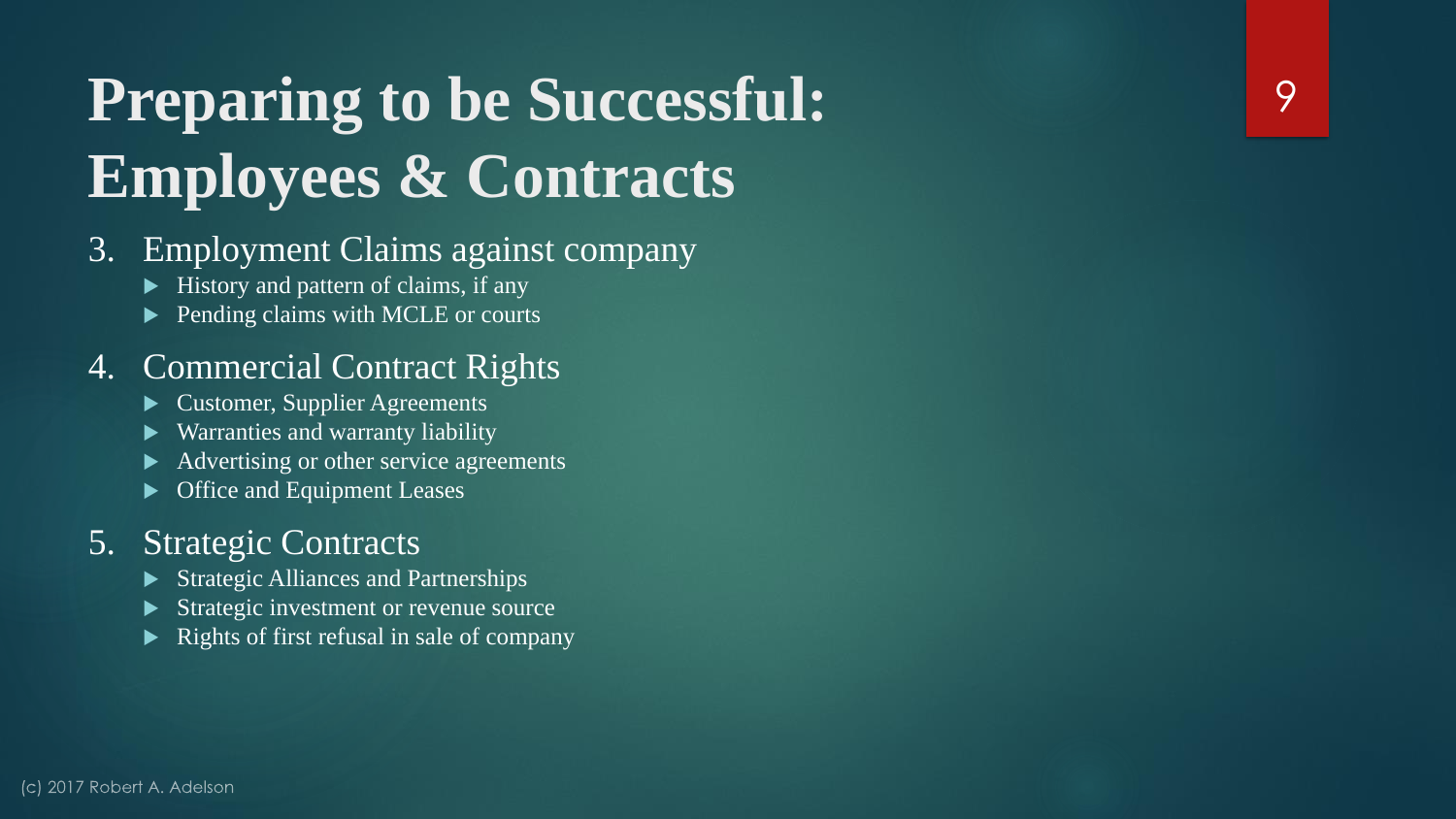# **Preparing to be Successful: Employees & Contracts**

#### 3. Employment Claims against company

- $\blacktriangleright$  History and pattern of claims, if any
- **Pending claims with MCLE or courts**

#### 4. Commercial Contract Rights

- Customer, Supplier Agreements
- Warranties and warranty liability
- Advertising or other service agreements
- Office and Equipment Leases

#### 5. Strategic Contracts

- $\triangleright$  Strategic Alliances and Partnerships
- Strategic investment or revenue source
- Rights of first refusal in sale of company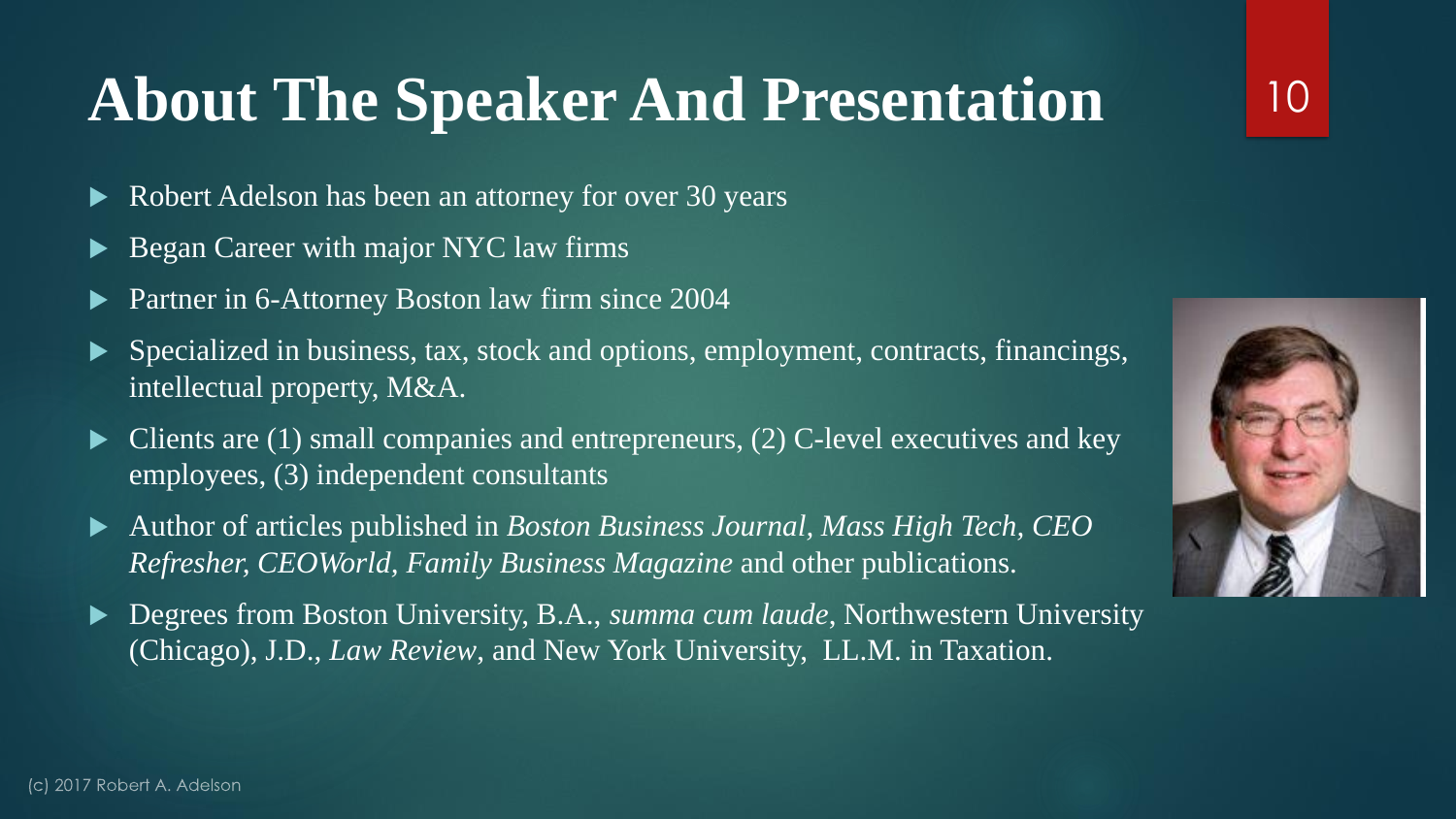### **About The Speaker And Presentation**

- Robert Adelson has been an attorney for over 30 years
- Began Career with major NYC law firms
- Partner in 6-Attorney Boston law firm since 2004
- $\blacktriangleright$  Specialized in business, tax, stock and options, employment, contracts, financings, intellectual property, M&A.
- $\blacktriangleright$  Clients are (1) small companies and entrepreneurs, (2) C-level executives and key employees, (3) independent consultants
- Author of articles published in *Boston Business Journal, Mass High Tech, CEO Refresher, CEOWorld, Family Business Magazine* and other publications.
- ▶ Degrees from Boston University, B.A., *summa cum laude*, Northwestern University (Chicago), J.D., *Law Review*, and New York University, LL.M. in Taxation.

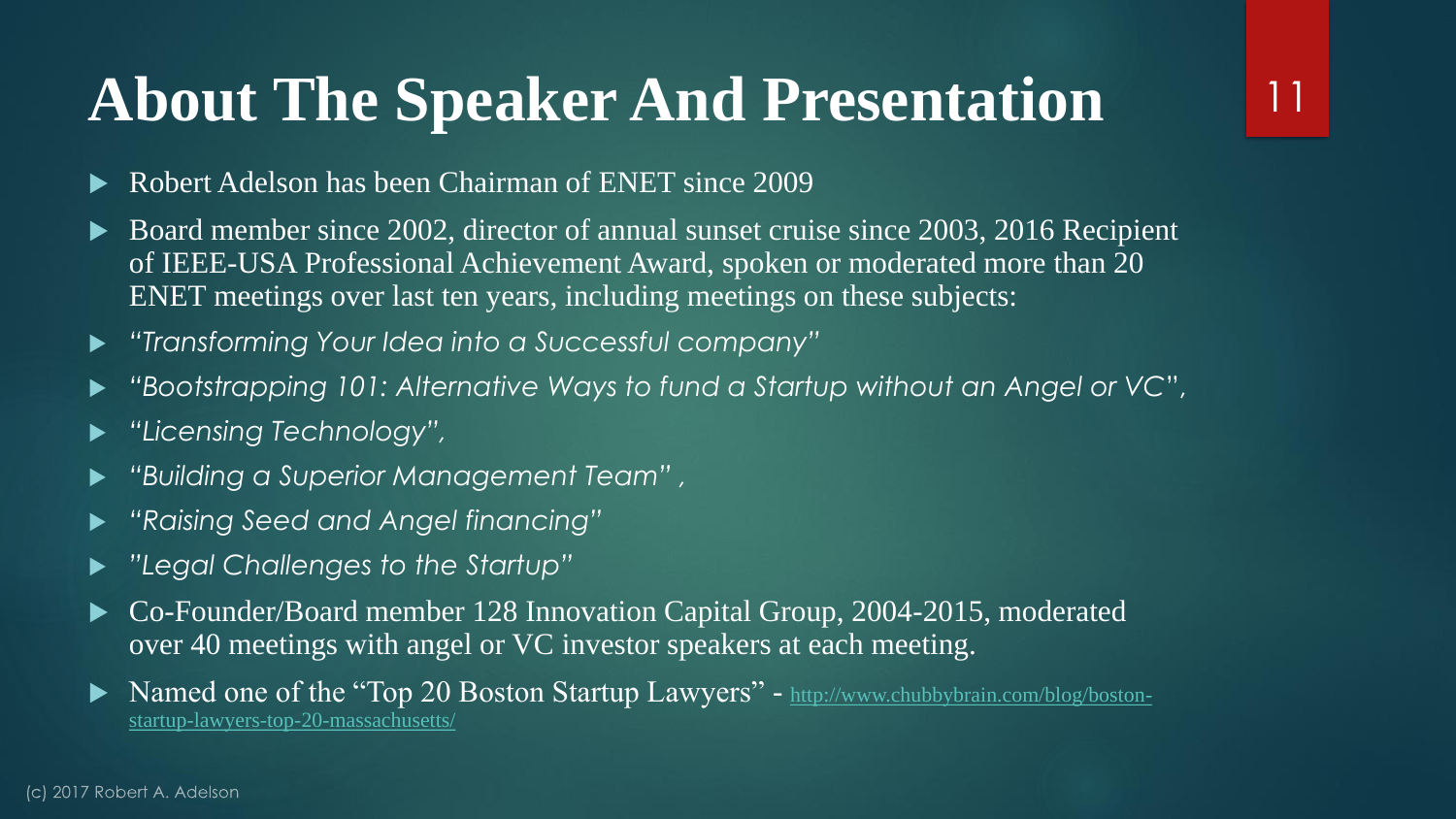### **About The Speaker And Presentation**

- Robert Adelson has been Chairman of ENET since 2009
- Board member since 2002, director of annual sunset cruise since 2003, 2016 Recipient of IEEE-USA Professional Achievement Award, spoken or moderated more than 20 ENET meetings over last ten years, including meetings on these subjects:

- *"Transforming Your Idea into a Successful company"*
- *"Bootstrapping 101: Alternative Ways to fund a Startup without an Angel or VC*",
- *"Licensing Technology",*
- *"Building a Superior Management Team" ,*
- *"Raising Seed and Angel financing"*
- *"Legal Challenges to the Startup"*
- ► Co-Founder/Board member 128 Innovation Capital Group, 2004-2015, moderated over 40 meetings with angel or VC investor speakers at each meeting.
- [Named one of the "Top 20 Boston Startup Lawyers" -](http://www.chubbybrain.com/blog/boston-startup-lawyers-top-20-massachusetts/) http://www.chubbybrain.com/blog/bostonstartup-lawyers-top-20-massachusetts/